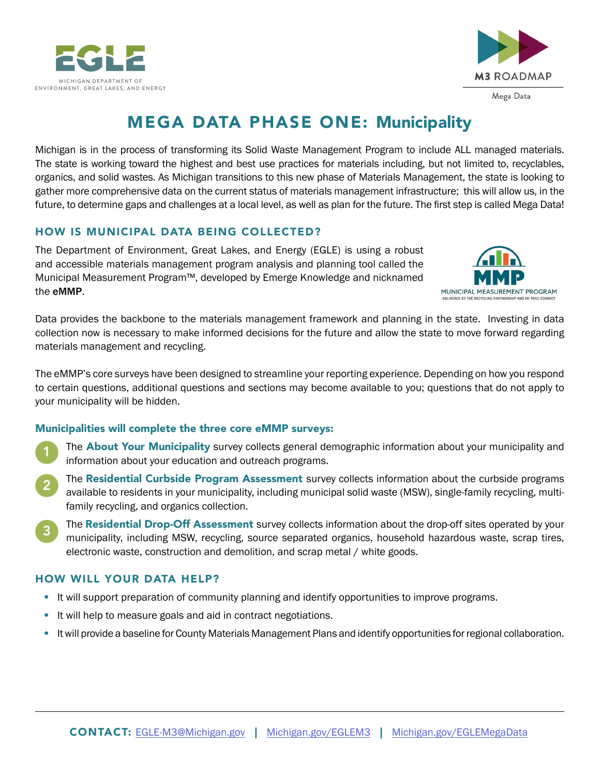



# MEGA DATA PHASE ONE: Municipality

Michigan is in the process of transforming its Solid Waste Management Program to include ALL managed materials. The state is working toward the highest and best use practices for materials including, but not limited to, recyclables, organics, and solid wastes. As Michigan transitions to this new phase of Materials Management, the state is looking to gather more comprehensive data on the current status of materials management infrastructure; this will allow us, in the future, to determine gaps and challenges at a local level, as well as plan for the future. The first step is called Mega Data!

## HOW IS MUNICIPAL DATA BEING COLLECTED?

The Department of Environment, Great Lakes, and Energy (EGLE) is using a robust and accessible materials management program analysis and planning tool called the Municipal Measurement Program™, developed by Emerge Knowledge and nicknamed the eMMP.



Data provides the backbone to the materials management framework and planning in the state. Investing in data collection now is necessary to make informed decisions for the future and allow the state to move forward regarding materials management and recycling.

The eMMP's core surveys have been designed to streamline your reporting experience. Depending on how you respond to certain questions, additional questions and sections may become available to you; questions that do not apply to your municipality will be hidden.

#### Municipalities will complete the three core eMMP surveys:

- The **About Your Municipality** survey collects general demographic information about your municipality and information about your education and outreach programs. 1
- The Residential Curbside Program Assessment survey collects information about the curbside programs available to residents in your municipality, including municipal solid waste (MSW), single-family recycling, multifamily recycling, and organics collection. 2
- The Residential Drop-Off Assessment survey collects information about the drop-off sites operated by your municipality, including MSW, recycling, source separated organics, household hazardous waste, scrap tires, electronic waste, construction and demolition, and scrap metal / white goods. 3

## HOW WILL YOUR DATA HELP?

- It will support preparation of community planning and identify opportunities to improve programs.
- It will help to measure goals and aid in contract negotiations.  $\bullet$
- It will provide a baseline for County Materials Management Plans and identify opportunities for regional collaboration.